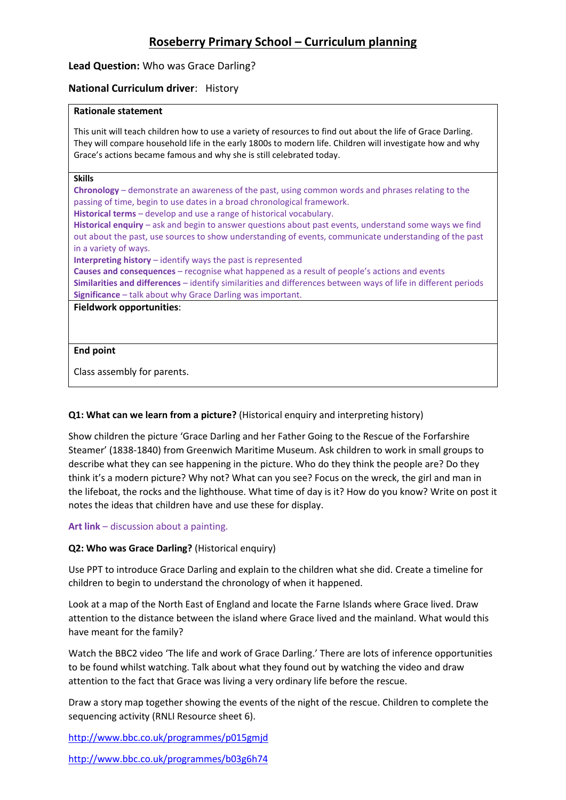# **Roseberry Primary School – Curriculum planning**

# **Lead Question:** Who was Grace Darling?

# **National Curriculum driver**: History

## **Rationale statement**

This unit will teach children how to use a variety of resources to find out about the life of Grace Darling. They will compare household life in the early 1800s to modern life. Children will investigate how and why Grace's actions became famous and why she is still celebrated today.

### **Skills**

**Chronology** – demonstrate an awareness of the past, using common words and phrases relating to the passing of time, begin to use dates in a broad chronological framework.

**Historical terms** – develop and use a range of historical vocabulary.

**Historical enquiry** – ask and begin to answer questions about past events, understand some ways we find out about the past, use sources to show understanding of events, communicate understanding of the past in a variety of ways.

**Interpreting history** – identify ways the past is represented

**Causes and consequences** – recognise what happened as a result of people's actions and events **Similarities and differences** – identify similarities and differences between ways of life in different periods **Significance** – talk about why Grace Darling was important.

# **Fieldwork opportunities**:

# **End point**

Class assembly for parents.

# **Q1: What can we learn from a picture?** (Historical enquiry and interpreting history)

Show children the picture 'Grace Darling and her Father Going to the Rescue of the Forfarshire Steamer' (1838-1840) from Greenwich Maritime Museum. Ask children to work in small groups to describe what they can see happening in the picture. Who do they think the people are? Do they think it's a modern picture? Why not? What can you see? Focus on the wreck, the girl and man in the lifeboat, the rocks and the lighthouse. What time of day is it? How do you know? Write on post it notes the ideas that children have and use these for display.

# **Art link** – discussion about a painting.

# **Q2: Who was Grace Darling?** (Historical enquiry)

Use PPT to introduce Grace Darling and explain to the children what she did. Create a timeline for children to begin to understand the chronology of when it happened.

Look at a map of the North East of England and locate the Farne Islands where Grace lived. Draw attention to the distance between the island where Grace lived and the mainland. What would this have meant for the family?

Watch the BBC2 video 'The life and work of Grace Darling.' There are lots of inference opportunities to be found whilst watching. Talk about what they found out by watching the video and draw attention to the fact that Grace was living a very ordinary life before the rescue.

Draw a story map together showing the events of the night of the rescue. Children to complete the sequencing activity (RNLI Resource sheet 6).

<http://www.bbc.co.uk/programmes/p015gmjd>

<http://www.bbc.co.uk/programmes/b03g6h74>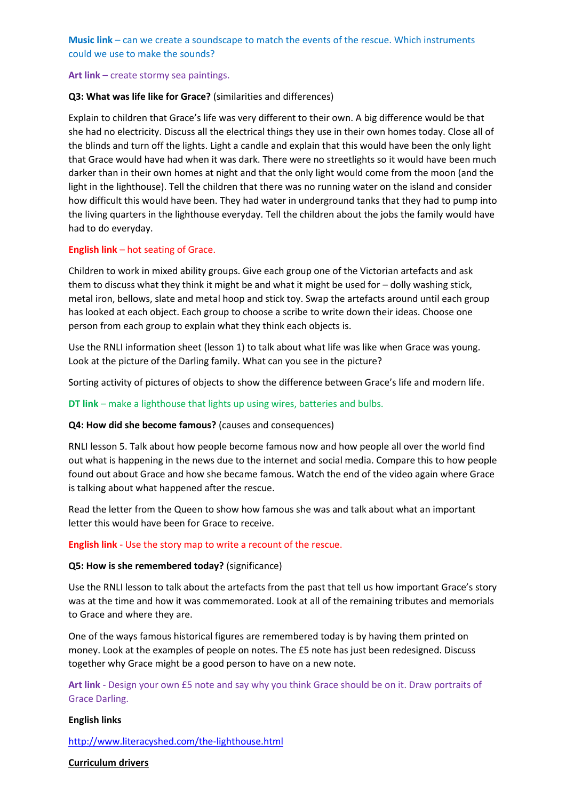**Music link** – can we create a soundscape to match the events of the rescue. Which instruments could we use to make the sounds?

# **Art link** – create stormy sea paintings.

# **Q3: What was life like for Grace?** (similarities and differences)

Explain to children that Grace's life was very different to their own. A big difference would be that she had no electricity. Discuss all the electrical things they use in their own homes today. Close all of the blinds and turn off the lights. Light a candle and explain that this would have been the only light that Grace would have had when it was dark. There were no streetlights so it would have been much darker than in their own homes at night and that the only light would come from the moon (and the light in the lighthouse). Tell the children that there was no running water on the island and consider how difficult this would have been. They had water in underground tanks that they had to pump into the living quarters in the lighthouse everyday. Tell the children about the jobs the family would have had to do everyday.

### **English link** – hot seating of Grace.

Children to work in mixed ability groups. Give each group one of the Victorian artefacts and ask them to discuss what they think it might be and what it might be used for – dolly washing stick, metal iron, bellows, slate and metal hoop and stick toy. Swap the artefacts around until each group has looked at each object. Each group to choose a scribe to write down their ideas. Choose one person from each group to explain what they think each objects is.

Use the RNLI information sheet (lesson 1) to talk about what life was like when Grace was young. Look at the picture of the Darling family. What can you see in the picture?

Sorting activity of pictures of objects to show the difference between Grace's life and modern life.

### **DT link** – make a lighthouse that lights up using wires, batteries and bulbs.

### **Q4: How did she become famous?** (causes and consequences)

RNLI lesson 5. Talk about how people become famous now and how people all over the world find out what is happening in the news due to the internet and social media. Compare this to how people found out about Grace and how she became famous. Watch the end of the video again where Grace is talking about what happened after the rescue.

Read the letter from the Queen to show how famous she was and talk about what an important letter this would have been for Grace to receive.

### **English link** - Use the story map to write a recount of the rescue.

### **Q5: How is she remembered today?** (significance)

Use the RNLI lesson to talk about the artefacts from the past that tell us how important Grace's story was at the time and how it was commemorated. Look at all of the remaining tributes and memorials to Grace and where they are.

One of the ways famous historical figures are remembered today is by having them printed on money. Look at the examples of people on notes. The £5 note has just been redesigned. Discuss together why Grace might be a good person to have on a new note.

**Art link** - Design your own £5 note and say why you think Grace should be on it. Draw portraits of Grace Darling.

### **English links**

<http://www.literacyshed.com/the-lighthouse.html>

## **Curriculum drivers**